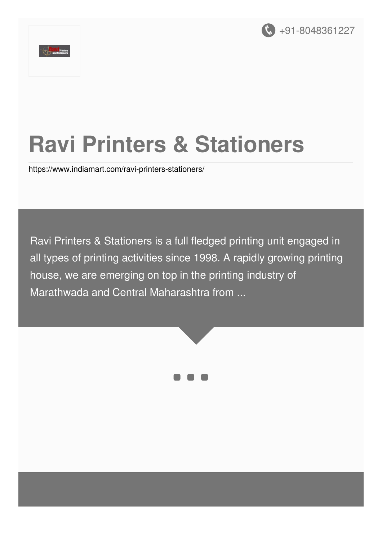



# **Ravi Printers & Stationers**

<https://www.indiamart.com/ravi-printers-stationers/>

Ravi Printers & Stationers is a full fledged printing unit engaged in all types of printing activities since 1998. A rapidly growing printing house, we are emerging on top in the printing industry of Marathwada and Central Maharashtra from ...



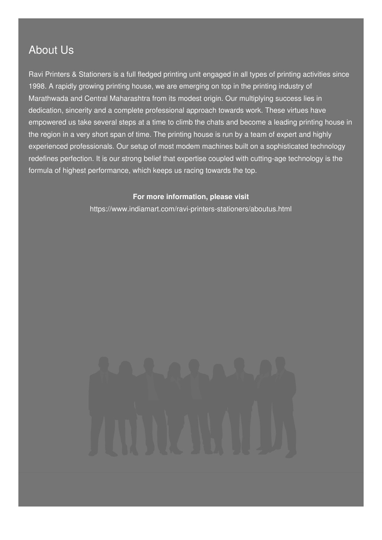#### About Us

Ravi Printers & Stationers is a full fledged printing unit engaged in all types of printing activities since 1998. A rapidly growing printing house, we are emerging on top in the printing industry of Marathwada and Central Maharashtra from its modest origin. Our multiplying success lies in dedication, sincerity and a complete professional approach towards work. These virtues have empowered us take several steps at a time to climb the chats and become a leading printing house in the region in a very short span of time. The printing house is run by a team of expert and highly experienced professionals. Our setup of most modem machines built on a sophisticated technology redefines perfection. It is our strong belief that expertise coupled with cutting-age technology is the formula of highest performance, which keeps us racing towards the top.

#### **For more information, please visit**

<https://www.indiamart.com/ravi-printers-stationers/aboutus.html>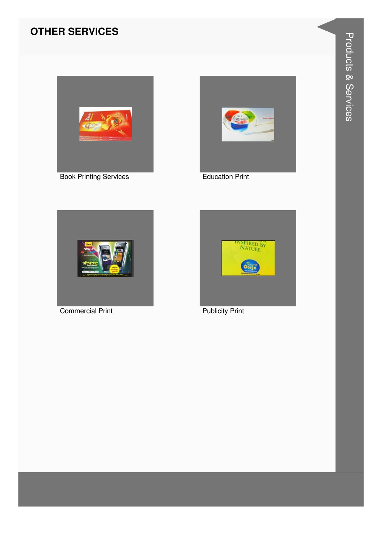#### **OTHER SERVICES**



Book Printing Services **Education Print** 





Commercial Print **Publicity Print** 

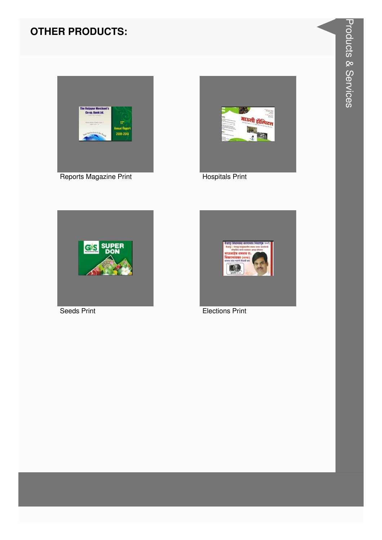#### **OTHER PRODUCTS:**









Seeds Print **Elections** Print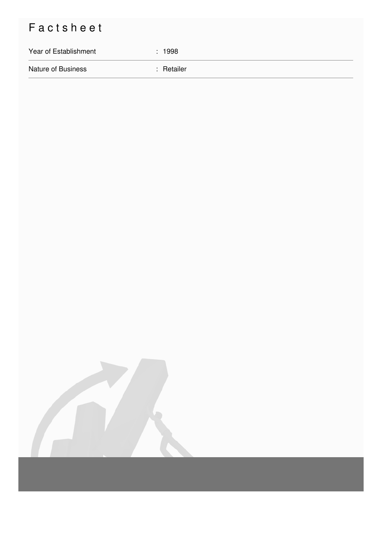### Factsheet

## Year of Establishment : 1998 Nature of Business : Retailer